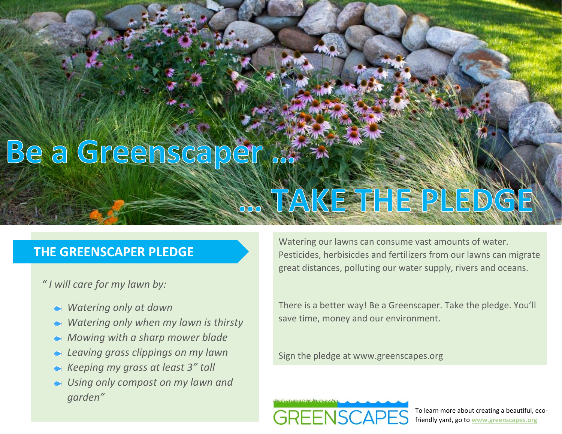## Be a Greenscaper

## **THE GREENSCAPER PLEDGE**

*" I will care for my lawn by:*

- *Watering only at dawn*
- *Watering only when my lawn is thirsty*
- *Mowing with a sharp mower blade*
- *Leaving grass clippings on my lawn*
- *Keeping my grass at least 3" tall*
- *Using only compost on my lawn and garden"*

Watering our lawns can consume vast amounts of water. Pesticides, herbisicdes and fertilizers from our lawns can migrate great distances, polluting our water supply, rivers and oceans.

S TAKE THE PLEDGE

There is a better way! Be a Greenscaper. Take the pledge. You'll save time, money and our environment.

Sign the pledge at www.greenscapes.org



To learn more about creating a beautiful, ecofriendly yard, go to **www.greenscapes.org**